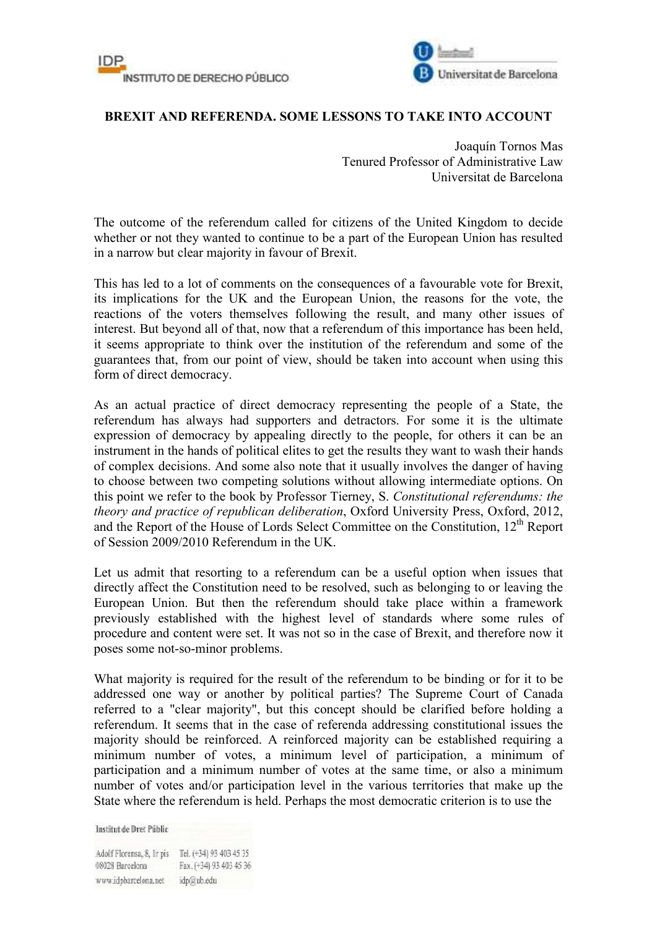



## **BREXIT AND REFERENDA. SOME LESSONS TO TAKE INTO ACCOUNT**

Joaquín Tornos Mas Tenured Professor of Administrative Law Universitat de Barcelona

The outcome of the referendum called for citizens of the United Kingdom to decide whether or not they wanted to continue to be a part of the European Union has resulted in a narrow but clear majority in favour of Brexit.

This has led to a lot of comments on the consequences of a favourable vote for Brexit, its implications for the UK and the European Union, the reasons for the vote, the reactions of the voters themselves following the result, and many other issues of interest. But beyond all of that, now that a referendum of this importance has been held, it seems appropriate to think over the institution of the referendum and some of the guarantees that, from our point of view, should be taken into account when using this form of direct democracy.

As an actual practice of direct democracy representing the people of a State, the referendum has always had supporters and detractors. For some it is the ultimate expression of democracy by appealing directly to the people, for others it can be an instrument in the hands of political elites to get the results they want to wash their hands of complex decisions. And some also note that it usually involves the danger of having to choose between two competing solutions without allowing intermediate options. On this point we refer to the book by Professor Tierney, S. *Constitutional referendums: the theory and practice of republican deliberation*, Oxford University Press, Oxford, 2012, and the Report of the House of Lords Select Committee on the Constitution, 12<sup>th</sup> Report of Session 2009/2010 Referendum in the UK.

Let us admit that resorting to a referendum can be a useful option when issues that directly affect the Constitution need to be resolved, such as belonging to or leaving the European Union. But then the referendum should take place within a framework previously established with the highest level of standards where some rules of procedure and content were set. It was not so in the case of Brexit, and therefore now it poses some not-so-minor problems.

What majority is required for the result of the referendum to be binding or for it to be addressed one way or another by political parties? The Supreme Court of Canada referred to a "clear majority", but this concept should be clarified before holding a referendum. It seems that in the case of referenda addressing constitutional issues the majority should be reinforced. A reinforced majority can be established requiring a minimum number of votes, a minimum level of participation, a minimum of participation and a minimum number of votes at the same time, or also a minimum number of votes and/or participation level in the various territories that make up the State where the referendum is held. Perhaps the most democratic criterion is to use the

**Institut de Dret Públic** 

Adolf Florensa, 8, Ir pis Tel. (+34) 93 403 45 35 08028 Barcelona Fax. (+34) 93 403 45 36 www.idpbarcelona.net idp@ub.edu